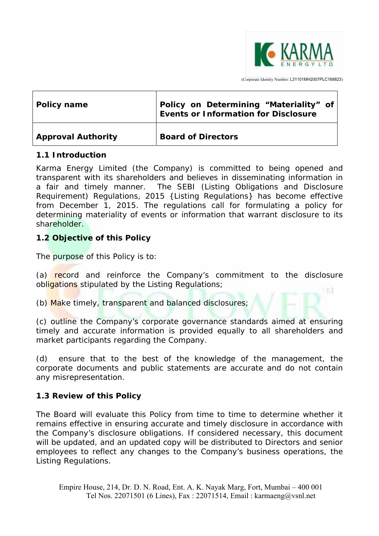

| Policy name               | Policy on Determining "Materiality" of<br><b>Events or Information for Disclosure</b> |
|---------------------------|---------------------------------------------------------------------------------------|
| <b>Approval Authority</b> | <b>Board of Directors</b>                                                             |

#### **1.1 Introduction**

Karma Energy Limited (the Company) is committed to being opened and transparent with its shareholders and believes in disseminating information in a fair and timely manner. The SEBI (Listing Obligations and Disclosure Requirement) Regulations, 2015 {Listing Regulations} has become effective from December 1, 2015. The regulations call for formulating a policy for determining materiality of events or information that warrant disclosure to its shareholder.

# **1.2 Objective of this Policy**

The purpose of this Policy is to:

(a) record and reinforce the Company's commitment to the disclosure obligations stipulated by the Listing Regulations; M

(b) Make timely, transparent and balanced disclosures;

(c) outline the Company's corporate governance standards aimed at ensuring timely and accurate information is provided equally to all shareholders and market participants regarding the Company.

(d) ensure that to the best of the knowledge of the management, the corporate documents and public statements are accurate and do not contain any misrepresentation.

# **1.3 Review of this Policy**

The Board will evaluate this Policy from time to time to determine whether it remains effective in ensuring accurate and timely disclosure in accordance with the Company's disclosure obligations. If considered necessary, this document will be updated, and an updated copy will be distributed to Directors and senior employees to reflect any changes to the Company's business operations, the Listing Regulations.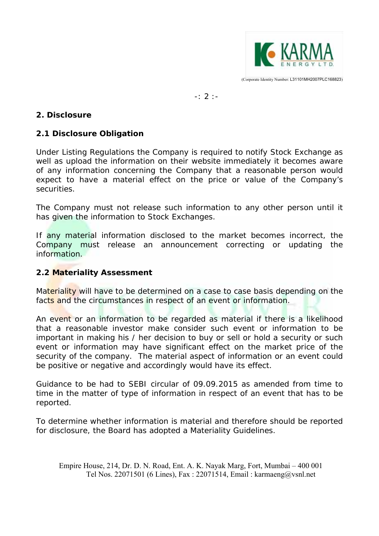

-: 2 :-

### **2. Disclosure**

# **2.1 Disclosure Obligation**

Under Listing Regulations the Company is required to notify Stock Exchange as well as upload the information on their website immediately it becomes aware of any information concerning the Company that a reasonable person would expect to have a material effect on the price or value of the Company's securities.

The Company must not release such information to any other person until it has given the information to Stock Exchanges.

If any material information disclosed to the market becomes incorrect, the Company must release an announcement correcting or updating the information.

# **2.2 Materiality Assessment**

Materiality will have to be determined on a case to case basis depending on the facts and the circumstances in respect of an event or information.

An event or an information to be regarded as material if there is a likelihood that a reasonable investor make consider such event or information to be important in making his / her decision to buy or sell or hold a security or such event or information may have significant effect on the market price of the security of the company. The material aspect of information or an event could be positive or negative and accordingly would have its effect.

Guidance to be had to SEBI circular of 09.09.2015 as amended from time to time in the matter of type of information in respect of an event that has to be reported.

To determine whether information is material and therefore should be reported for disclosure, the Board has adopted a Materiality Guidelines.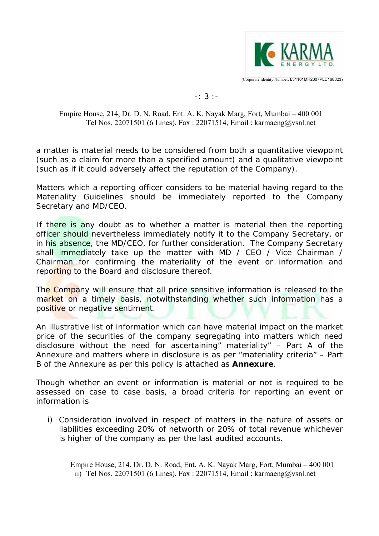

#### $-$ : 3 :  $-$

#### Empire House, 214, Dr. D. N. Road, Ent. A. K. Nayak Marg, Fort, Mumbai – 400 001 Tel Nos. 22071501 (6 Lines), Fax : 22071514, Email : karmaeng@vsnl.net

a matter is material needs to be considered from both a quantitative viewpoint (such as a claim for more than a specified amount) and a qualitative viewpoint (such as if it could adversely affect the reputation of the Company).

Matters which a reporting officer considers to be material having regard to the Materiality Guidelines should be immediately reported to the Company Secretary and MD/CEO.

If there is any doubt as to whether a matter is material then the reporting officer should nevertheless immediately notify it to the Company Secretary, or in his absence, the MD/CEO, for further consideration. The Company Secretary shall immediately take up the matter with MD / CEO / Vice Chairman / Chairman for confirming the materiality of the event or information and reporting to the Board and disclosure thereof.

The Company will ensure that all price sensitive information is released to the market on a timely basis, notwithstanding whether such information has a positive or negative sentiment.

An illustrative list of information which can have material impact on the market price of the securities of the company segregating into matters which need disclosure without the need for ascertaining" materiality" – Part A of the Annexure and matters where in disclosure is as per "materiality criteria" – Part B of the Annexure as per this policy is attached as **Annexure**.

Though whether an event or information is material or not is required to be assessed on case to case basis, a broad criteria for reporting an event or information is

i) Consideration involved in respect of matters in the nature of assets or liabilities exceeding 20% of networth or 20% of total revenue whichever is higher of the company as per the last audited accounts.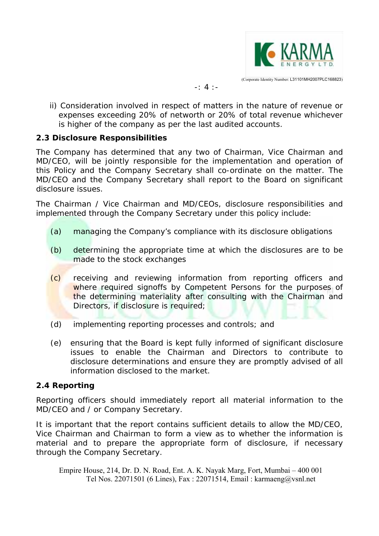

-: 4 :-

ii) Consideration involved in respect of matters in the nature of revenue or expenses exceeding 20% of networth or 20% of total revenue whichever is higher of the company as per the last audited accounts.

## **2.3 Disclosure Responsibilities**

The Company has determined that any two of Chairman, Vice Chairman and MD/CEO, will be jointly responsible for the implementation and operation of this Policy and the Company Secretary shall co-ordinate on the matter. The MD/CEO and the Company Secretary shall report to the Board on significant disclosure issues.

The Chairman / Vice Chairman and MD/CEOs, disclosure responsibilities and implemented through the Company Secretary under this policy include:

- (a) managing the Company's compliance with its disclosure obligations
- (b) determining the appropriate time at which the disclosures are to be made to the stock exchanges
- (c) receiving and reviewing information from reporting officers and where required signoffs by Competent Persons for the purposes of the determining materiality after consulting with the Chairman and Directors, if disclosure is required;
- (d) implementing reporting processes and controls; and
- (e) ensuring that the Board is kept fully informed of significant disclosure issues to enable the Chairman and Directors to contribute to disclosure determinations and ensure they are promptly advised of all information disclosed to the market.

# **2.4 Reporting**

Reporting officers should immediately report all material information to the MD/CEO and / or Company Secretary.

It is important that the report contains sufficient details to allow the MD/CEO, Vice Chairman and Chairman to form a view as to whether the information is material and to prepare the appropriate form of disclosure, if necessary through the Company Secretary.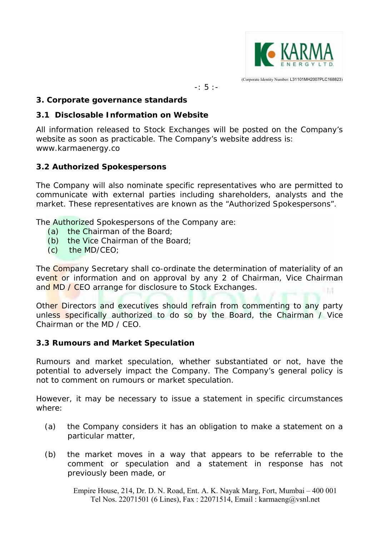

-: 5 :-

#### **3. Corporate governance standards**

### **3.1 Disclosable Information on Website**

All information released to Stock Exchanges will be posted on the Company's website as soon as practicable. The Company's website address is: www.karmaenergy.co

# **3.2 Authorized Spokespersons**

The Company will also nominate specific representatives who are permitted to communicate with external parties including shareholders, analysts and the market. These representatives are known as the "Authorized Spokespersons".

The Authorized Spokespersons of the Company are:

- (a) the Chairman of the Board;
- (b) the Vice Chairman of the Board;
- (c) the MD/CEO;

The Company Secretary shall co-ordinate the determination of materiality of an event or information and on approval by any 2 of Chairman, Vice Chairman and MD / CEO arrange for disclosure to Stock Exchanges. l M

Other Directors and executives should refrain from commenting to any party unless specifically authorized to do so by the Board, the Chairman / Vice Chairman or the MD / CEO.

# **3.3 Rumours and Market Speculation**

Rumours and market speculation, whether substantiated or not, have the potential to adversely impact the Company. The Company's general policy is not to comment on rumours or market speculation.

However, it may be necessary to issue a statement in specific circumstances where:

- (a) the Company considers it has an obligation to make a statement on a particular matter,
- (b) the market moves in a way that appears to be referrable to the comment or speculation and a statement in response has not previously been made, or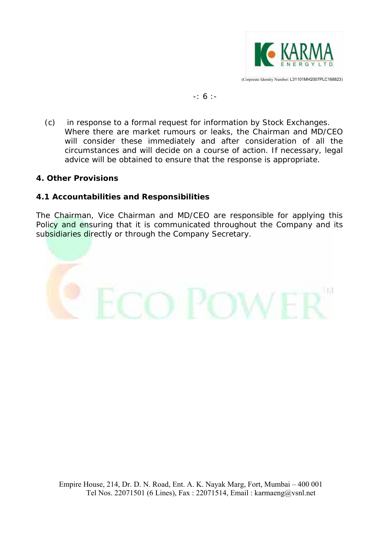

(c) in response to a formal request for information by Stock Exchanges. Where there are market rumours or leaks, the Chairman and MD/CEO will consider these immediately and after consideration of all the circumstances and will decide on a course of action. If necessary, legal advice will be obtained to ensure that the response is appropriate.

#### **4. Other Provisions**

## **4.1 Accountabilities and Responsibilities**

The Chairman, Vice Chairman and MD/CEO are responsible for applying this Policy and ensuring that it is communicated throughout the Company and its subsidiaries directly or through the Company Secretary.

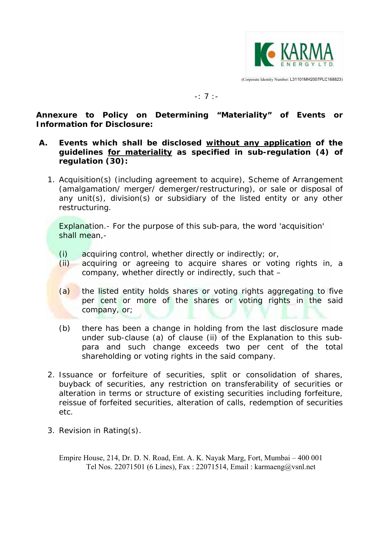

#### -: 7 :-

**Annexure to Policy on Determining "Materiality" of Events or Information for Disclosure:** 

- **A. Events which shall be disclosed without any application of the guidelines for materiality as specified in sub-regulation (4) of regulation (30):** 
	- 1. Acquisition(s) (including agreement to acquire), Scheme of Arrangement (amalgamation/ merger/ demerger/restructuring), or sale or disposal of any unit(s), division(s) or subsidiary of the listed entity or any other restructuring.

Explanation.- For the purpose of this sub-para, the word 'acquisition' shall mean,-

- (i) acquiring control, whether directly or indirectly; or,
- (ii) acquiring or agreeing to acquire shares or voting rights in, a company, whether directly or indirectly, such that –
- (a) the listed entity holds shares or voting rights aggregating to five per cent or more of the shares or voting rights in the said company, or;
- (b) there has been a change in holding from the last disclosure made under sub-clause (a) of clause (ii) of the Explanation to this subpara and such change exceeds two per cent of the total shareholding or voting rights in the said company.
- 2. Issuance or forfeiture of securities, split or consolidation of shares, buyback of securities, any restriction on transferability of securities or alteration in terms or structure of existing securities including forfeiture, reissue of forfeited securities, alteration of calls, redemption of securities etc.
- 3. Revision in Rating(s).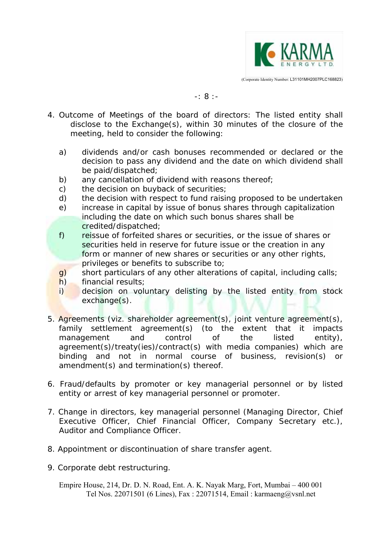

 $-8$   $-$ 

- 4. Outcome of Meetings of the board of directors: The listed entity shall disclose to the Exchange(s), within 30 minutes of the closure of the meeting, held to consider the following:
	- a) dividends and/or cash bonuses recommended or declared or the decision to pass any dividend and the date on which dividend shall be paid/dispatched;
	- b) any cancellation of dividend with reasons thereof;
	- c) the decision on buyback of securities;
	- d) the decision with respect to fund raising proposed to be undertaken
	- e) increase in capital by issue of bonus shares through capitalization including the date on which such bonus shares shall be credited/dispatched;
	- f) reissue of forfeited shares or securities, or the issue of shares or securities held in reserve for future issue or the creation in any form or manner of new shares or securities or any other rights, privileges or benefits to subscribe to;
	- g) short particulars of any other alterations of capital, including calls;
	- h) financial results;
	- i) decision on voluntary delisting by the listed entity from stock exchange(s).
- 5. Agreements (viz. shareholder agreement(s), joint venture agreement(s), family settlement agreement(s) (to the extent that it impacts management and control of the listed entity), agreement(s)/treaty(ies)/contract(s) with media companies) which are binding and not in normal course of business, revision(s) or amendment(s) and termination(s) thereof.
- 6. Fraud/defaults by promoter or key managerial personnel or by listed entity or arrest of key managerial personnel or promoter.
- 7. Change in directors, key managerial personnel (Managing Director, Chief Executive Officer, Chief Financial Officer, Company Secretary etc.), Auditor and Compliance Officer.
- 8. Appointment or discontinuation of share transfer agent.
- 9. Corporate debt restructuring.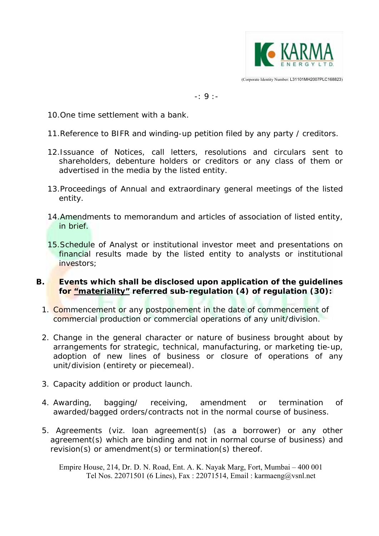

-: 9 :-

10.One time settlement with a bank.

- 11.Reference to BIFR and winding-up petition filed by any party / creditors.
- 12.Issuance of Notices, call letters, resolutions and circulars sent to shareholders, debenture holders or creditors or any class of them or advertised in the media by the listed entity.
- 13.Proceedings of Annual and extraordinary general meetings of the listed entity.
- 14.Amendments to memorandum and articles of association of listed entity, in brief.
- 15.Schedule of Analyst or institutional investor meet and presentations on financial results made by the listed entity to analysts or institutional investors;
- **B. Events which shall be disclosed upon application of the guidelines for "materiality" referred sub-regulation (4) of regulation (30):** 
	- 1. Commencement or any postponement in the date of commencement of commercial production or commercial operations of any unit/division.
	- 2. Change in the general character or nature of business brought about by arrangements for strategic, technical, manufacturing, or marketing tie-up, adoption of new lines of business or closure of operations of any unit/division (entirety or piecemeal).
	- 3. Capacity addition or product launch.
	- 4. Awarding, bagging/ receiving, amendment or termination of awarded/bagged orders/contracts not in the normal course of business.
	- 5. Agreements (viz. loan agreement(s) (as a borrower) or any other agreement(s) which are binding and not in normal course of business) and revision(s) or amendment(s) or termination(s) thereof.